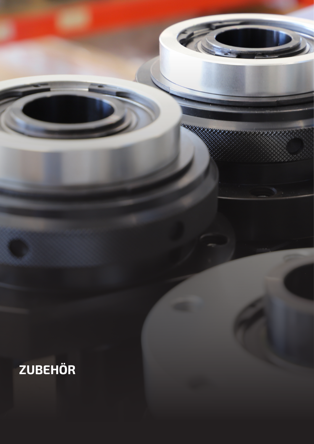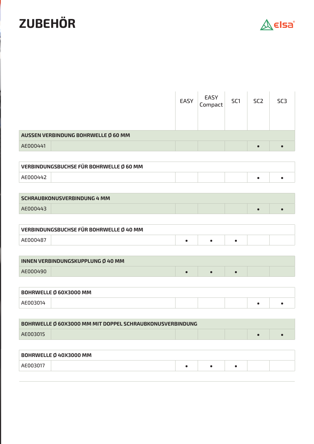## **ZUBEHÖR**



|                                     | EASY | EASY<br>Compact | SC <sub>1</sub> | SC <sub>2</sub> | SC <sub>3</sub> |  |  |  |
|-------------------------------------|------|-----------------|-----------------|-----------------|-----------------|--|--|--|
| AUSSEN VERBINDUNG BOHRWELLE Ø 60 MM |      |                 |                 |                 |                 |  |  |  |
| AE000441                            |      |                 |                 | $\bullet$       |                 |  |  |  |

| VERBINDUNGSBUCHSE FÜR BOHRWELLE Ø 60 MM |  |  |  |  |  |  |
|-----------------------------------------|--|--|--|--|--|--|
| AE000442                                |  |  |  |  |  |  |

| <b>SCHRAUBKONUSVERBINDUNG 4 MM</b> |  |  |  |  |  |  |
|------------------------------------|--|--|--|--|--|--|
| AE000443                           |  |  |  |  |  |  |

| VERBINDUNGSBUCHSE FÜR BOHRWELLE Ø 40 MM |  |  |  |  |  |
|-----------------------------------------|--|--|--|--|--|
|                                         |  |  |  |  |  |

| INNEN VERBINDUNGSKUPPLUNG Ø 40 MM |  |  |  |  |  |  |
|-----------------------------------|--|--|--|--|--|--|
| AE000490                          |  |  |  |  |  |  |

| <b>BOHRWELLE Ø 60X3000 MM</b> |  |  |  |  |  |  |
|-------------------------------|--|--|--|--|--|--|
|                               |  |  |  |  |  |  |

| BOHRWELLE Ø 60X3000 MM MIT DOPPEL SCHRAUBKONUSVERBINDUNG |  |  |  |  |  |  |  |
|----------------------------------------------------------|--|--|--|--|--|--|--|
| AE003015                                                 |  |  |  |  |  |  |  |

| <b>BOHRWELLE Ø 40X3000 MM</b> |  |  |  |  |  |  |  |
|-------------------------------|--|--|--|--|--|--|--|
|                               |  |  |  |  |  |  |  |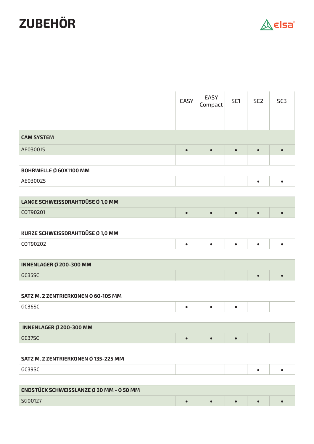## **ZUBEHÖR**



|                   |                                          | EASY      | EASY<br>Compact | SC <sub>1</sub> | SC <sub>2</sub> | SC <sub>3</sub> |
|-------------------|------------------------------------------|-----------|-----------------|-----------------|-----------------|-----------------|
| <b>CAM SYSTEM</b> |                                          |           |                 |                 |                 |                 |
| AE030015          |                                          | $\bullet$ | $\bullet$       | $\bullet$       | $\bullet$       | $\bullet$       |
|                   |                                          |           |                 |                 |                 |                 |
|                   | BOHRWELLE Ø 60X1100 MM                   |           |                 |                 |                 |                 |
| AE030025          |                                          |           |                 |                 | $\bullet$       | $\bullet$       |
|                   |                                          |           |                 |                 |                 |                 |
|                   | LANGE SCHWEISSDRAHTDÜSE Ø 1,0 MM         |           |                 |                 |                 |                 |
| COT90201          |                                          | $\bullet$ | $\bullet$       | $\bullet$       | $\bullet$       | $\bullet$       |
|                   |                                          |           |                 |                 |                 |                 |
|                   | KURZE SCHWEISSDRAHTDÜSE Ø 1,0 MM         |           |                 |                 |                 |                 |
| COT90202          |                                          | $\bullet$ | $\bullet$       | $\bullet$       | $\bullet$       | $\bullet$       |
|                   |                                          |           |                 |                 |                 |                 |
|                   | INNENLAGER Ø 200-300 MM                  |           |                 |                 |                 |                 |
| GC35SC            |                                          |           |                 |                 | $\bullet$       | $\bullet$       |
|                   |                                          |           |                 |                 |                 |                 |
|                   | SATZ M. 2 ZENTRIERKONEN Ø 60-105 MM      |           |                 |                 |                 |                 |
| GC36SC            |                                          | $\bullet$ | $\bullet$       | $\bullet$       |                 |                 |
|                   |                                          |           |                 |                 |                 |                 |
|                   | <b>INNENLAGER Ø 200-300 MM</b>           |           |                 |                 |                 |                 |
| GC37SC            |                                          | $\bullet$ | $\bullet$       | $\bullet$       |                 |                 |
|                   |                                          |           |                 |                 |                 |                 |
|                   | SATZ M. 2 ZENTRIERKONEN Ø 135-225 MM     |           |                 |                 |                 |                 |
| GC39SC            |                                          |           |                 |                 | $\bullet$       | $\bullet$       |
|                   |                                          |           |                 |                 |                 |                 |
|                   | ENDSTÜCK SCHWEISSLANZE Ø 30 MM - Ø 50 MM |           |                 |                 |                 |                 |
| SG00127           |                                          | $\bullet$ | $\bullet$       | $\bullet$       | $\bullet$       | $\bullet$       |